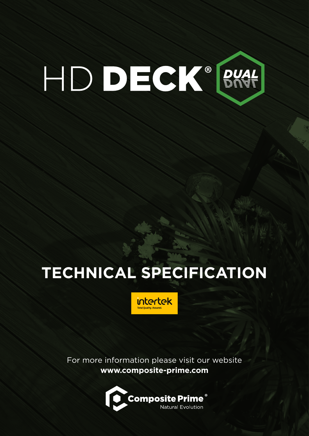## HDDECK®RAL

## **TECHNICAL SPECIFICATION**



For more information please visit our website **www.composite-prime.com**